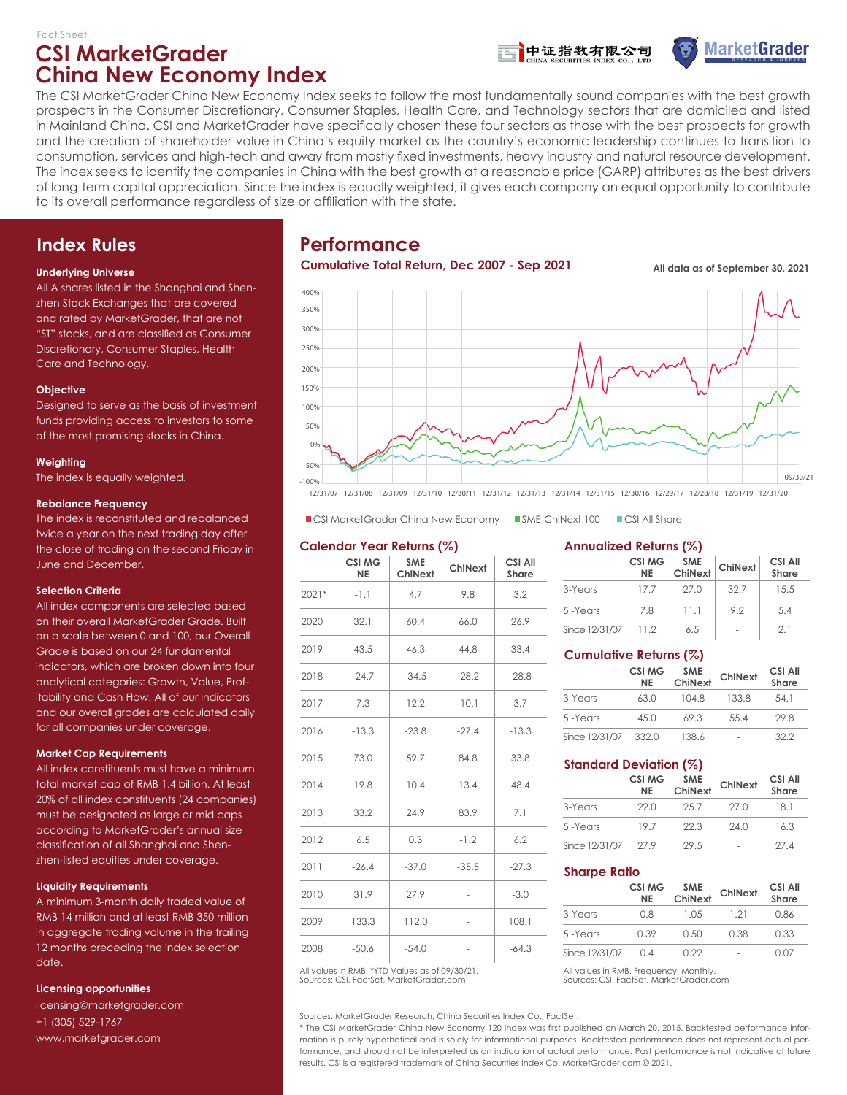## **CSI MarketGrader China New Economy Index**





The CSI MarketGrader China New Economy Index seeks to follow the most fundamentally sound companies with the best growth prospects in the Consumer Discretionary, Consumer Staples, Health Care, and Technology sectors that are domiciled and listed in Mainland China. CSI and MarketGrader have specifically chosen these four sectors as those with the best prospects for growth and the creation of shareholder value in China's equity market as the country's economic leadership continues to transition to consumption, services and high-tech and away from mostly fixed investments, heavy industry and natural resource development. The index seeks to identify the companies in China with the best growth at a reasonable price (GARP) attributes as the best drivers of long-term capital appreciation. Since the index is equally weighted, it gives each company an equal opportunity to contribute to its overall performance regardless of size or affiliation with the state.

## **Index Rules**

### **Underlying Universe**

All A shares listed in the Shanghai and Shenzhen Stock Exchanges that are covered and rated by MarketGrader, that are not "ST" stocks, and are classified as Consumer Discretionary, Consumer Staples, Health Care and Technology.

### **Objective**

Designed to serve as the basis of investment funds providing access to investors to some of the most promising stocks in China.

### **Weighting**

The index is equally weighted.

### **Rebalance Frequency**

The index is reconstituted and rebalanced twice a year on the next trading day after the close of trading on the second Friday in June and December.

### **Selection Criteria**

All index components are selected based on their overall MarketGrader Grade. Built on a scale between 0 and 100, our Overall Grade is based on our 24 fundamental indicators, which are broken down into four analytical categories: Growth, Value, Profitability and Cash Flow. All of our indicators and our overall grades are calculated daily for all companies under coverage.

### **Market Cap Requirements**

All index constituents must have a minimum total market cap of RMB 1.4 billion. At least 20% of all index constituents (24 companies) must be designated as large or mid caps according to MarketGrader's annual size classification of all Shanghai and Shenzhen-listed equities under coverage.

### **Liquidity Requirements**

A minimum 3-month daily traded value of RMB 14 million and at least RMB 350 million in aggregate trading volume in the trailing 12 months preceding the index selection date.

### **Licensing opportunities**

licensing@marketgrader.com +1 (305) 529-1767 www.marketgrader.com

## **Performance**

### **Cumulative Total Return, Dec 2007 - Sep 2021 All data as of September 30, 2021**



12/31/07 12/31/08 12/31/09 12/31/10 12/30/11 12/31/12 12/31/13 12/31/14 12/31/15 12/30/16 12/29/17 12/28/18 12/31/19 12/31/20

 $\blacksquare$  CSI MarketGrader China New Economy SME-ChiNext 100 CSI All Share

### **Calendar Year Returns (%)**

|       | <b>CSI MG</b><br><b>NE</b> | <b>SME</b><br>ChiNext | ChiNext                  | <b>CSI All</b><br><b>Share</b> |
|-------|----------------------------|-----------------------|--------------------------|--------------------------------|
| 2021* | $-1.1$                     | 4.7                   | 9.8                      | 3.2                            |
| 2020  | 32.1                       | 60.4                  | 66.0                     | 26.9                           |
| 2019  | 43.5                       | 46.3                  | 44.8                     | 33.4                           |
| 2018  | $-24.7$                    | $-34.5$               | $-28.2$                  | $-28.8$                        |
| 2017  | 7.3                        | 12.2                  | $-10.1$                  | 3.7                            |
| 2016  | $-13.3$                    | $-23.8$               | $-27.4$                  | $-13.3$                        |
| 2015  | 73.0                       | 59.7                  | 84.8                     | 33.8                           |
| 2014  | 19.8                       | 10.4                  | 13.4                     | 48.4                           |
| 2013  | 33.2                       | 24.9                  | 83.9                     | 7.1                            |
| 2012  | 6.5                        | 0.3                   | $-1.2$                   | 6.2                            |
| 2011  | $-26.4$                    | $-37.0$               | $-35.5$                  | $-27.3$                        |
| 2010  | 31.9                       | 27.9                  |                          | $-3.0$                         |
| 2009  | 133.3                      | 112.0                 | $\overline{\phantom{m}}$ | 108.1                          |
| 2008  | $-50.6$                    | $-54.0$               |                          | $-64.3$                        |

Sources: CSI, FactSet, MarketGrader.com All values in RMB. \*YTD Values as of 09/30/21. All values in RMB. Frequency: Monthly.

Sources: MarketGrader Research, China Securities Index Co., FactSet.

\* The CSI MarketGrader China New Economy 120 Index was first published on March 20, 2015. Backtested performance information is purely hypothetical and is solely for informational purposes. Backtested performance does not represent actual performance, and should not be interpreted as an indication of actual performance. Past performance is not indicative of future results. CSI is a registered trademark of China Securities Index Co. MarketGrader.com © 2021.

### **Annualized Returns (%)**

|                | <b>CSI MG</b><br><b>NE</b> | <b>SME</b><br>ChiNext | ChiNext | <b>CSI All</b><br><b>Share</b> |
|----------------|----------------------------|-----------------------|---------|--------------------------------|
| 3-Years        | 177                        | 27.0                  | 32.7    | 15.5                           |
| 5-Years        | 7.8                        | 11.1                  | 92      | 5.4                            |
| Since 12/31/07 | 112                        | 6.5                   |         | 21                             |

## **Cumulative Returns (%)**

|                | <b>CSI MG</b><br><b>NE</b> | <b>SME</b><br>ChiNext | ChiNext | CSI All<br>Share |
|----------------|----------------------------|-----------------------|---------|------------------|
| 3-Years        | 63.0                       | 104.8                 | 133.8   | 54.1             |
| 5-Years        | 45.0                       | 69.3                  | 55.4    | 29.8             |
| Since 12/31/07 | 332.0                      | 138.6                 |         | 322              |

## **Standard Deviation (%)**

|                | <b>CSI MG</b><br><b>NE</b> | <b>SME</b><br>ChiNext | ChiNext | CSI All<br><b>Share</b> |  |
|----------------|----------------------------|-----------------------|---------|-------------------------|--|
| 3-Years        | 22.0                       | 25.7                  | 27.0    | 181                     |  |
| 5-Years        | 197                        | 22.3                  | 24.0    | 16.3                    |  |
| Since 12/31/07 | 27.9                       | 29.5                  |         | 274                     |  |

### **Sharpe Ratio**

|                | <b>CSI MG</b><br><b>NE</b> | <b>SME</b><br>ChiNext | ChiNext | CSI All<br>Share |
|----------------|----------------------------|-----------------------|---------|------------------|
| 3-Years        | O 8                        | 1.05                  | 121     | 0.86             |
| 5-Years        | 0.39                       | 0.50                  | 0.38    | 0.33             |
| Since 12/31/07 | $\Omega$ 4                 | 0.22                  | ٠       | 0.07             |

Sources: CSI, FactSet, MarketGrader.com